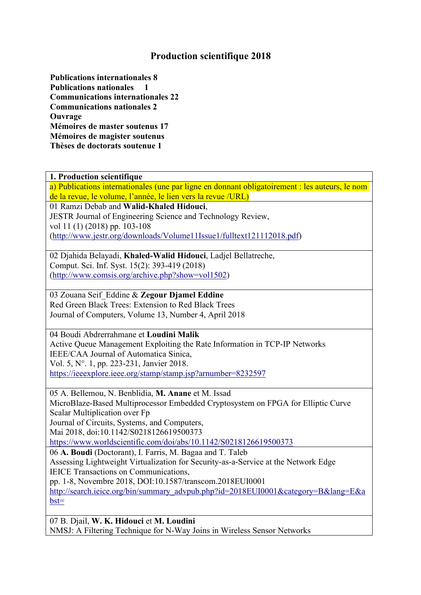## **Production scientifique 2018**

**Publications internationales 8 Publications nationales 1 Communications internationales 22 Communications nationales 2 Ouvrage Mémoires de master soutenus 17 Mémoires de magister soutenus Thèses de doctorats soutenue 1**

**1. Production scientifique**

a) Publications internationales (une par ligne en donnant obligatoirement : les auteurs, le nom de la revue, le volume, l'année, le lien vers la revue /URL)

01 Ramzi Debab and **Walid-Khaled Hidouci**, JESTR Journal of Engineering Science and Technology Review, vol 11 (1) (2018) pp.103-108 [\(http://www.jestr.org/downloads/Volume11Issue1/fulltext121112018.pdf\)](http://www.jestr.org/downloads/Volume11Issue1/fulltext121112018.pdf)

02 Djahida Belayadi, **Khaled-Walid Hidouci**, Ladjel Bellatreche, Comput. Sci. Inf. Syst. 15(2): 393-419 (2018) [\(http://www.comsis.org/archive.php?show=vol1502\)](http://www.comsis.org/archive.php?show=vol1502)

03 Zouana Seif\_Eddine & **Zegour Djamel Eddine** Red Green Black Trees: Extension to Red Black Trees Journal of Computers, Volume 13, Number 4, April 2018

04 Boudi Abdrerrahmane et **Loudini Malik** Active Queue Management Exploiting the Rate Information in TCP-IP Networks IEEE/CAA Journal of Automatica Sinica, Vol. 5, N°. 1, pp. 223-231, Janvier 2018. <https://ieeexplore.ieee.org/stamp/stamp.jsp?arnumber=8232597>

05 A. Bellemou, N. Benblidia, **M. Anane** et M. Issad MicroBlaze-Based Multiprocessor Embedded Cryptosystem on FPGA for Elliptic Curve Scalar Multiplication over Fp Journal of Circuits, Systems, and Computers, Mai 2018, doi:10.1142/S0218126619500373 <https://www.worldscientific.com/doi/abs/10.1142/S0218126619500373> 06 **A. Boudi** (Doctorant), I. Farris, M. Bagaa and T. Taleb Assessing Lightweight Virtualization for Security-as-a-Service at the Network Edge IEICE Transactions on Communications, pp. 1-8, Novembre 2018, DOI:10.1587/transcom.2018EUI0001 [http://search.ieice.org/bin/summary\\_advpub.php?id=2018EUI0001&category=B&lang=E&a](http://search.ieice.org/bin/summary_advpub.php?id=2018EUI0001&category=B&lang=E&abst=) bst=

07 B. Djail, **W. K. Hidouci** et **M. Loudini** NMSJ: A Filtering Technique for N-Way Joins in Wireless Sensor Networks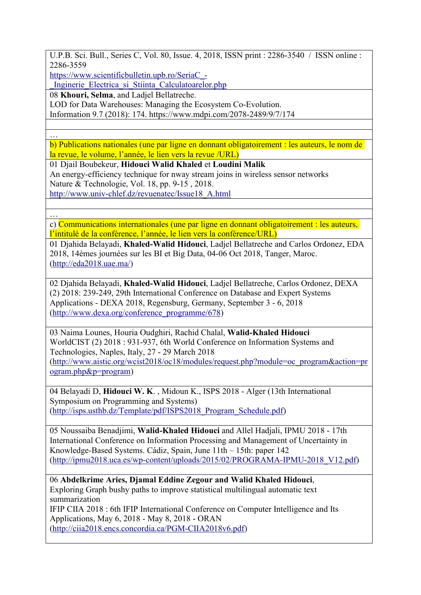U.P.B. Sci. Bull., Series C, Vol. 80, Issue. 4, 2018, ISSN print : 2286-3540 / ISSN online : 2286-3559

[https://www.scientificbulletin.upb.ro/SeriaC\\_-](https://www.scientificbulletin.upb.ro/SeriaC_-_Inginerie_Electrica_si_Stiinta_Calculatoarelor.php)

\_Inginerie\_Electrica\_si\_Stiinta\_Calculatoarelor.php

08 **Khouri, Selma**, and Ladjel Bellatreche.

LOD for Data Warehouses: Managing the Ecosystem Co-Evolution.

Information 9.7 (2018): 174. <https://www.mdpi.com/2078-2489/9/7/174>

… b) Publications nationales (une par ligne en donnant obligatoirement : les auteurs, le nom de la revue, le volume, l'année, le lien vers la revue /URL)

01 Djail Boubekeur, **Hidouci Walid Khaled** et **Loudini Malik** An energy-efficiency technique for nway stream joins in wireless sensor networks Nature & Technologie, Vol. 18, pp. 9-15 , 2018. [http://www.univ-chlef.dz/revuenatec/Issue18\\_A.html](http://www.univ-chlef.dz/revuenatec/Issue18_A.html)

… c) Communications internationales (une par ligne en donnant obligatoirement : les auteurs, l'intitulé de la conférence, l'année, le lien vers la conférence/URL)

01 Djahida Belayadi, **Khaled-Walid Hidouci**, Ladjel Bellatreche and Carlos Ordonez, EDA 2018, 14èmes journées sur les BI et Big Data, 04-06 Oct 2018, Tanger, Maroc. [\(http://eda2018.uae.ma/](http://eda2018.uae.ma/))

02 Djahida Belayadi, **Khaled-Walid Hidouci**, Ladjel Bellatreche, Carlos Ordonez, DEXA (2) 2018: 239-249, 29th International Conference on Database and Expert Systems Applications - DEXA 2018, Regensburg, Germany, September 3 - 6, 2018 [\(http://www.dexa.org/conference\\_programme/678](http://www.dexa.org/conference_programme/678))

03 Naima Lounes, Houria Oudghiri, Rachid Chalal, **Walid-Khaled Hidouci** WorldCIST (2) 2018 : 931-937, 6th World Conference on Information Systems and Technologies, Naples, Italy, 27 - 29 March 2018 [\(http://www.aistic.org/wcist2018/oc18/modules/request.php?module=oc\\_program&action=pr](http://www.aistic.org/wcist2018/oc18/modules/request.php?module=oc_program&action=program.php&p=program) ogram.php&p=program)

04 Belayadi D, **Hidouci W. K**. , Midoun K., ISPS 2018 - Alger(13th International Symposium on Programming and Systems) [\(http://isps.usthb.dz/Template/pdf/ISPS2018\\_Program\\_Schedule.pdf\)](http://isps.usthb.dz/Template/pdf/ISPS2018_Program_Schedule.pdf)

05 Noussaiba Benadjimi, **Walid-Khaled Hidouci** and Allel Hadjali, IPMU 2018 - 17th International Conference on Information Processing and Management of Uncertainty in Knowledge-Based Systems. Cádiz, Spain, June 11th – 15th: paper 142 [\(http://ipmu2018.uca.es/wp-content/uploads/2015/02/PROGRAMA-IPMU-2018\\_V12.pdf](http://ipmu2018.uca.es/wp-content/uploads/2015/02/PROGRAMA-IPMU-2018_V12.pdf))

06 **Abdelkrime Aries, Djamal Eddine Zegour and Walid Khaled Hidouci**, Exploring Graph bushy paths to improve statistical multilingual automatic text summarization IFIP CIIA 2018 : 6th IFIP International Conference on Computer Intelligence and Its Applications, May 6, 2018 - May 8, 2018 - ORAN [\(http://ciia2018.encs.concordia.ca/PGM-CIIA2018v6.pdf\)](http://ciia2018.encs.concordia.ca/PGM-CIIA2018v6.pdf)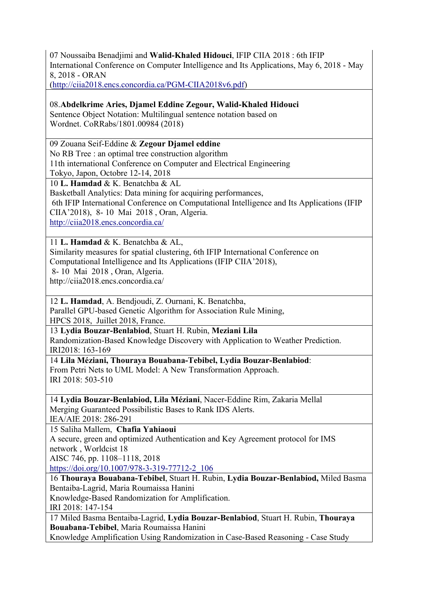07 Noussaiba Benadjimi and **Walid-Khaled Hidouci**, IFIP CIIA 2018 : 6th IFIP International Conference on Computer Intelligence and Its Applications, May 6, 2018 - May 8, 2018 - ORAN

[\(http://ciia2018.encs.concordia.ca/PGM-CIIA2018v6.pdf\)](http://ciia2018.encs.concordia.ca/PGM-CIIA2018v6.pdf)

08.**Abdelkrime Aries, Djamel Eddine Zegour, Walid-Khaled Hidouci**

Sentence Object Notation: Multilingual sentence notation based on Wordnet. CoRRabs/1801.00984 (2018)

09 Zouana Seif-Eddine & **Zegour Djamel eddine**

No RB Tree : an optimal tree construction algorithm

11th international Conference on Computer and Electrical Engineering

Tokyo, Japon, Octobre 12-14, 2018

10 **L. Hamdad** & K. Benatchba & AL

Basketball Analytics: Data mining for acquiring performances,

6th IFIP International Conference on Computational Intelligence and Its Applications (IFIP CIIA'2018), 8- 10 Mai 2018 , Oran, Algeria.

<http://ciia2018.encs.concordia.ca/>

11 **L. Hamdad** & K. Benatchba & AL,

Similarity measures for spatial clustering, 6th IFIP International Conference on Computational Intelligence and Its Applications (IFIP CIIA'2018),

8- 10 Mai 2018 , Oran, Algeria.

<http://ciia2018.encs.concordia.ca/>

12 **L. Hamdad**, A. Bendjoudi, Z. Ournani, K. Benatchba,

Parallel GPU-based Genetic Algorithm for Association Rule Mining, HPCS 2018, Juillet 2018, France.

13 **Lydia [Bouzar-Benlabiod](https://dblp.org/pers/hd/b/Bouzar=Benlabiod:Lydia)**, Stuart H. [Rubin](https://dblp.org/pers/hd/r/Rubin:Stuart_H=), **Meziani Lila** Randomization-Based Knowledge Discovery with Application to Weather Prediction. [IRI2018](https://dblp.org/db/conf/iri/iri2018.html): 163-169

14 **Lila [Méziani](https://dblp.uni-trier.de/pers/hd/m/M=eacute=ziani:Lila), Thouraya Bouabana-Tebibel, Lydia [Bouzar-Benlabiod](https://dblp.uni-trier.de/pers/hd/b/Bouzar=Benlabiod:Lydia)**:

From Petri Nets to UML Model: A New Transformation Approach. IRI [2018](https://dblp.uni-trier.de/db/conf/iri/iri2018.html): 503-510

14 **Lydia Bouzar-Benlabiod, Lila [Méziani](https://dblp.uni-trier.de/pers/hd/m/M=eacute=ziani:Lila)**, [Nacer-Eddine](https://dblp.uni-trier.de/pers/hd/r/Rim:Nacer=Eddine) Rim, [Zakaria](https://dblp.uni-trier.de/pers/hd/m/Mellal:Zakaria) Mellal Merging Guaranteed Possibilistic Bases to Rank IDS Alerts.<br>[IEA/AIE](https://dblp.uni-trier.de/db/conf/ieaaie/ieaaie2018.html) 2018: 286-291

15 Saliha Mallem,**Chafia Yahiaoui**

A secure, green and optimized Authentication and Key Agreement protocol for IMS network , Worldcist 18

AISC 746, pp. 1108–1118, 2018

[https://doi.org/10.1007/978-3-319-77712-2\\_106](https://doi.org/10.1007/978-3-319-77712-2_106)

16 **Thouraya Bouabana-Tebibel**, Stuart H. Rubin, **Lydia Bouzar-Benlabiod,** Miled Basma Bentaiba-Lagrid, Maria Roumaissa Hanini

Knowledge-Based Randomization for Amplification.

IRI 2018: 147-154

17 Miled Basma Bentaiba-Lagrid, **Lydia Bouzar-Benlabiod**, Stuart H. Rubin, **Thouraya Bouabana-Tebibel**, Maria Roumaissa Hanini Knowledge Amplification Using Randomization in Case-Based Reasoning - Case Study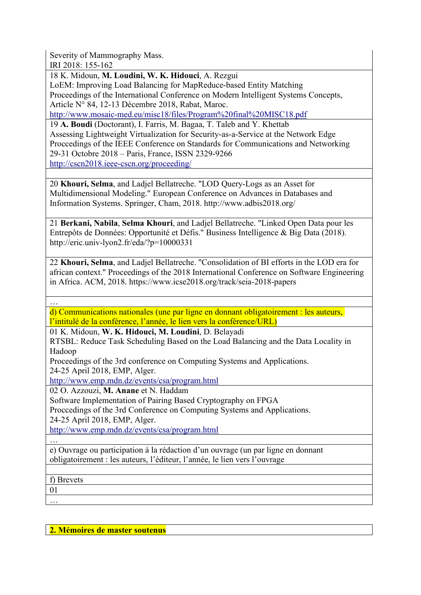Severity of Mammography Mass. IRI 2018: 155-162

18 K. Midoun, **M. Loudini, W. K. Hidouci**, A. Rezgui

LoEM: Improving Load Balancing for MapReduce-based Entity Matching Proceedings of the International Conference on Modern Intelligent Systems Concepts, Article N° 84, 12-13 Décembre 2018, Rabat, Maroc.

<http://www.mosaic-med.eu/misc18/files/Program%20final%20MISC18.pdf>

19 **A. Boudi** (Doctorant), I. Farris, M. Bagaa, T. Taleb and Y. Khettab Assessing Lightweight Virtualization for Security-as-a-Service at the Network Edge Proccedings of the IEEE Conference on Standards for Communications and Networking 29-31 Octobre 2018 – Paris, France, ISSN 2329-9266 <http://cscn2018.ieee-cscn.org/proceeding/>

20 **Khouri, Selma**, and Ladjel Bellatreche. "LOD Query-Logs as an Asset for Multidimensional Modeling." European Conference on Advances in Databases and Information Systems. Springer, Cham, 2018. http://www.adbis2018.org/

21 **Berkani, Nabila**, **Selma Khouri**, and Ladjel Bellatreche. "Linked Open Data pourles Entrepôts de Données: Opportunité et Défis." Business Intelligence & Big Data (2018). http://eric.univ-lyon2.fr/eda/?p=10000331

22 **Khouri, Selma**, and Ladjel Bellatreche. "Consolidation of BI efforts in the LOD era for african context." Proceedings of the 2018 International Conference on Software Engineering in Africa. ACM, 2018. https://www.icse2018.org/track/seia-2018-papers

… d) Communications nationales (une par ligne en donnant obligatoirement : les auteurs, l'intitulé de la conférence, l'année, le lien vers la conférence/URL)

01 K. Midoun, **W. K. Hidouci, M. Loudini**, D. Belayadi

RTSBL: Reduce Task Scheduling Based on the Load Balancing and the Data Locality in Hadoop

Proceedings of the 3rd conference on Computing Systems and Applications. 24-25 April 2018, EMP, Alger.

<http://www.emp.mdn.dz/events/csa/program.html>

02 O. Azzouzi, **M. Anane** et N. Haddam

Software Implementation of Pairing Based Cryptography on FPGA

Proccedings of the 3rd Conference on Computing Systems and Applications. 24-25 April 2018, EMP, Alger.

<http://www.emp.mdn.dz/events/csa/program.html>

…

e) Ouvrage ou participation à la rédaction d'un ouvrage (un par ligne en donnant obligatoirement : les auteurs, l'éditeur, l'année, le lien vers l'ouvrage

f) Brevets

 $\frac{01}{\cdots}$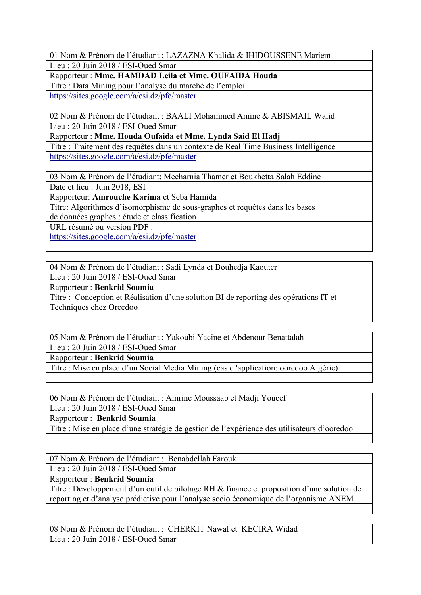01 Nom & Prénom de l'étudiant : LAZAZNA Khalida & IHIDOUSSENE Mariem Lieu : 20 Juin 2018 / ESI-Oued Smar

Rapporteur : **Mme. HAMDAD Leila et Mme. OUFAIDA Houda**

Titre : Data Mining pour l'analyse du marché de l'emploi

<https://sites.google.com/a/esi.dz/pfe/master>

02 Nom & Prénom de l'étudiant : BAALI Mohammed Amine & ABISMAIL Walid Lieu : 20 Juin 2018 / ESI-Oued Smar

Rapporteur : **Mme. Houda Oufaida et Mme. Lynda Said El Hadj**

Titre : Traitement des requêtes dans un contexte de Real Time Business Intelligence <https://sites.google.com/a/esi.dz/pfe/master>

03 Nom & Prénom de l'étudiant: Mecharnia Thamer et Boukhetta Salah Eddine

Date et lieu : Juin 2018, ESI

Rapporteur: **Amrouche Karima** et Seba Hamida

Titre: Algorithmes d'isomorphisme de sous-graphes et requêtes dans les bases de données graphes : étude et classification

URL résumé ou version PDF :

<https://sites.google.com/a/esi.dz/pfe/master>

04 Nom & Prénom de l'étudiant : Sadi Lynda et Bouhedja Kaouter

Lieu : 20 Juin 2018 / ESI-Oued Smar

Rapporteur : **Benkrid Soumia**

Titre : Conception et Réalisation d'une solution BI de reporting des opérations IT et Techniques chez Oreedoo

05 Nom & Prénom de l'étudiant : Yakoubi Yacine et Abdenour Benattalah

Lieu : 20 Juin 2018 / ESI-Oued Smar

Rapporteur : **Benkrid Soumia**

Titre : Mise en place d'un Social Media Mining (cas d 'application: ooredoo Algérie)

06 Nom & Prénom de l'étudiant : Amrine Moussaab et Madji Youcef

Lieu : 20 Juin 2018 / ESI-Oued Smar

Rapporteur : **Benkrid Soumia**

Titre : Mise en place d'une stratégie de gestion de l'expérience des utilisateurs d'ooredoo

07 Nom & Prénom de l'étudiant : Benabdellah Farouk

Lieu : 20 Juin 2018 / ESI-Oued Smar

Rapporteur : **Benkrid Soumia**

Titre : Développement d'un outil de pilotage RH & finance et proposition d'une solution de reporting et d'analyse prédictive pour l'analyse socio économique de l'organisme ANEM

08 Nom & Prénom de l'étudiant : CHERKIT Nawal et KECIRA Widad Lieu : 20 Juin 2018 / ESI-Oued Smar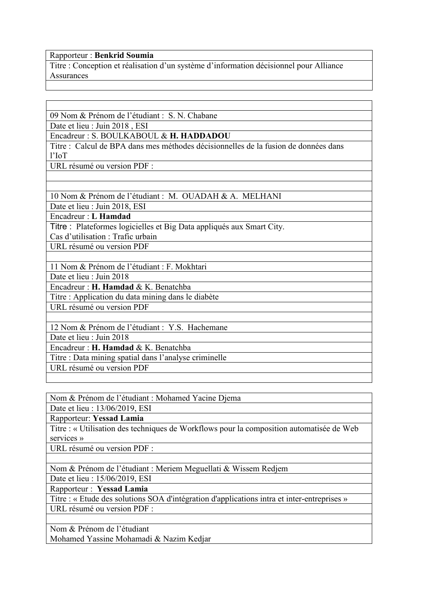## Rapporteur : **Benkrid Soumia**

Titre : Conception et réalisation d'un système d'information décisionnel pour Alliance **Assurances** 

09 Nom & Prénom de l'étudiant : S. N. Chabane

Date et lieu : Juin 2018 , ESI

Encadreur : S.BOULKABOUL & **H. HADDADOU**

Titre : Calcul de BPA dans mes méthodes décisionnelles de la fusion de données dans l'IoT

URL résumé ou version PDF :

10 Nom & Prénom de l'étudiant : M. OUADAH & A. MELHANI

Date et lieu : Juin 2018, ESI

Encadreur : **L Hamdad**

Titre : Plateformes logicielles et Big Data appliqués aux Smart City.

Cas d'utilisation : Trafic urbain

URL résumé ou version PDF

11 Nom & Prénom de l'étudiant : F. Mokhtari

Date et lieu : Juin 2018

Encadreur : **H. Hamdad** & K. Benatchba

Titre : Application du data mining dansle diabète

URL résumé ou version PDF

12 Nom & Prénom de l'étudiant : Y.S. Hachemane

Date et lieu · Juin 2018

Encadreur : **H. Hamdad** & K. Benatchba

Titre : Data mining spatial dans l'analyse criminelle

URL résumé ou version PDF

Nom & Prénom de l'étudiant : Mohamed Yacine Djema

Date et lieu : 13/06/2019, ESI

Rapporteur: **Yessad Lamia**

Titre : « Utilisation des techniques de Workflows pour la composition automatisée de Web services »

URL résumé ou version PDF :

Nom & Prénom de l'étudiant : Meriem Meguellati & Wissem Redjem

Date et lieu : 15/06/2019, ESI

Rapporteur : **Yessad Lamia**

Titre : « Etude des solutions SOA d'intégration d'applications intra et inter-entreprises » URL résumé ou version PDF :

Nom & Prénom de l'étudiant Mohamed Yassine Mohamadi & Nazim Kedjar